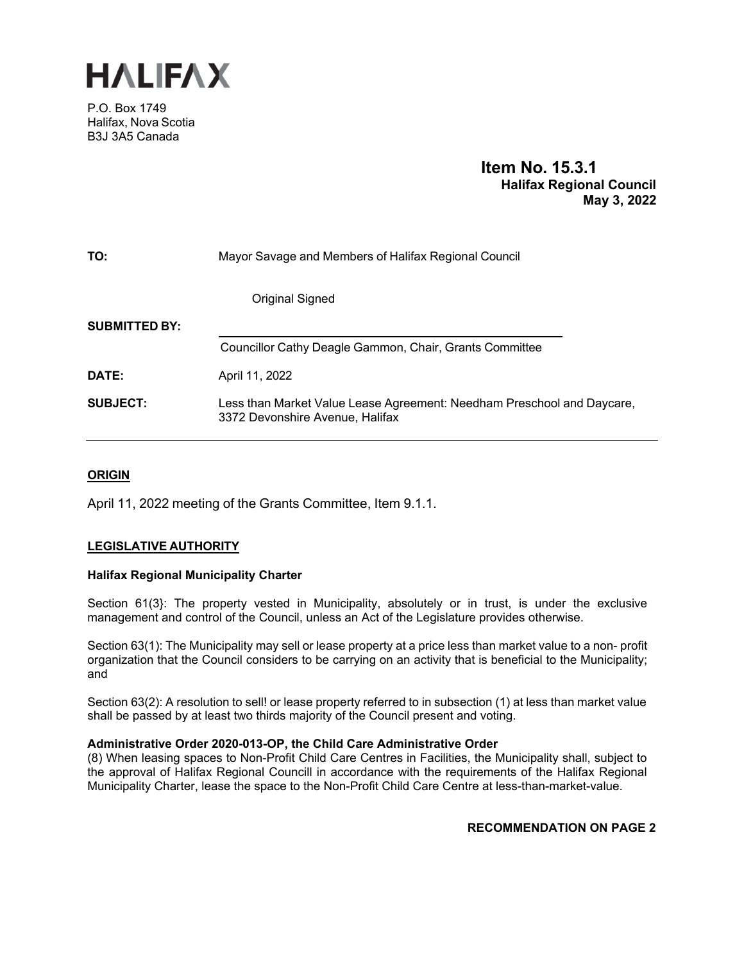

P.O. Box 1749 Halifax, Nova Scotia B3J 3A5 Canada

# **Item No. 15.3.1 Halifax Regional Council May 3, 2022**

| TO:                  | Mayor Savage and Members of Halifax Regional Council                                                      |  |  |
|----------------------|-----------------------------------------------------------------------------------------------------------|--|--|
|                      | Original Signed                                                                                           |  |  |
| <b>SUBMITTED BY:</b> |                                                                                                           |  |  |
|                      | Councillor Cathy Deagle Gammon, Chair, Grants Committee                                                   |  |  |
| DATE:                | April 11, 2022                                                                                            |  |  |
| SUBJECT:             | Less than Market Value Lease Agreement: Needham Preschool and Daycare,<br>3372 Devonshire Avenue, Halifax |  |  |

# **ORIGIN**

April 11, 2022 meeting of the Grants Committee, Item 9.1.1.

# **LEGISLATIVE AUTHORITY**

### **Halifax Regional Municipality Charter**

Section 61(3}: The property vested in Municipality, absolutely or in trust, is under the exclusive management and control of the Council, unless an Act of the Legislature provides otherwise.

Section 63(1): The Municipality may sell or lease property at a price less than market value to a non- profit organization that the Council considers to be carrying on an activity that is beneficial to the Municipality; and

Section 63(2): A resolution to sell! or lease property referred to in subsection (1) at less than market value shall be passed by at least two thirds majority of the Council present and voting.

#### **Administrative Order 2020-013-OP, the Child Care Administrative Order**

(8) When leasing spaces to Non-Profit Child Care Centres in Facilities, the Municipality shall, subject to the approval of Halifax Regional Councill in accordance with the requirements of the Halifax Regional Municipality Charter, lease the space to the Non-Profit Child Care Centre at less-than-market-value.

# **RECOMMENDATION ON PAGE 2**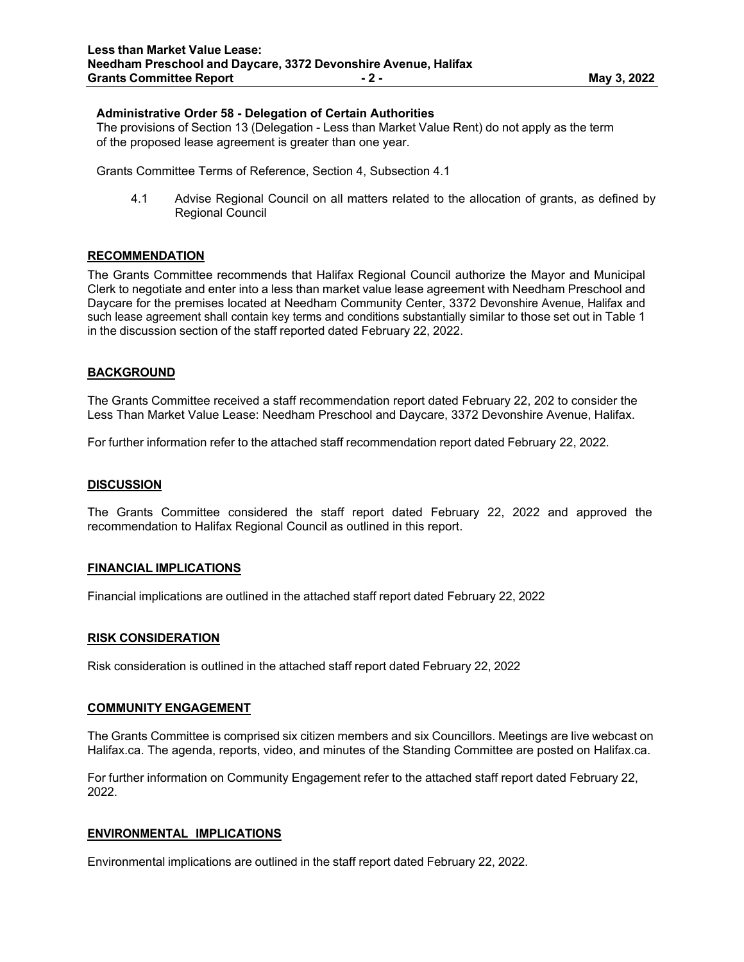### **Administrative Order 58 - Delegation of Certain Authorities**

The provisions of Section 13 (Delegation - Less than Market Value Rent) do not apply as the term of the proposed lease agreement is greater than one year.

Grants Committee Terms of Reference, Section 4, Subsection 4.1

4.1 Advise Regional Council on all matters related to the allocation of grants, as defined by Regional Council

#### **RECOMMENDATION**

The Grants Committee recommends that Halifax Regional Council authorize the Mayor and Municipal Clerk to negotiate and enter into a less than market value lease agreement with Needham Preschool and Daycare for the premises located at Needham Community Center, 3372 Devonshire Avenue, Halifax and such lease agreement shall contain key terms and conditions substantially similar to those set out in Table 1 in the discussion section of the staff reported dated February 22, 2022.

### **BACKGROUND**

The Grants Committee received a staff recommendation report dated February 22, 202 to consider the Less Than Market Value Lease: Needham Preschool and Daycare, 3372 Devonshire Avenue, Halifax.

For further information refer to the attached staff recommendation report dated February 22, 2022.

#### **DISCUSSION**

The Grants Committee considered the staff report dated February 22, 2022 and approved the recommendation to Halifax Regional Council as outlined in this report.

#### **FINANCIAL IMPLICATIONS**

Financial implications are outlined in the attached staff report dated February 22, 2022

#### **RISK CONSIDERATION**

Risk consideration is outlined in the attached staff report dated February 22, 2022

#### **COMMUNITY ENGAGEMENT**

The Grants Committee is comprised six citizen members and six Councillors. Meetings are live webcast on Halifax.ca. The agenda, reports, video, and minutes of the Standing Committee are posted on Halifax.ca.

For further information on Community Engagement refer to the attached staff report dated February 22, 2022.

### **ENVIRONMENTAL IMPLICATIONS**

Environmental implications are outlined in the staff report dated February 22, 2022.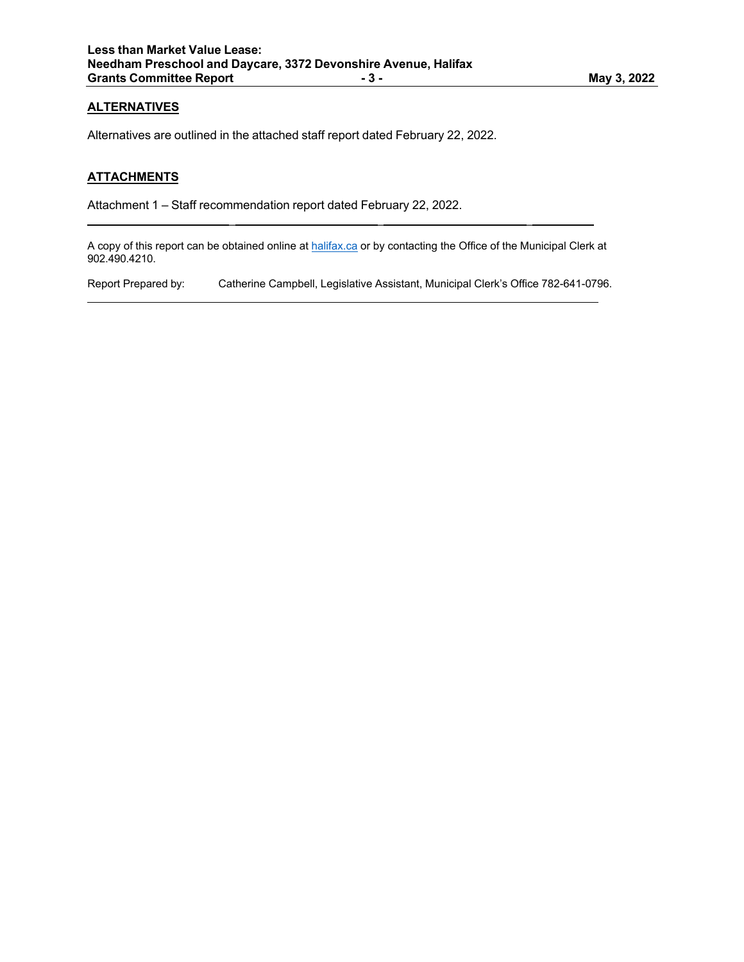# **ALTERNATIVES**

Alternatives are outlined in the attached staff report dated February 22, 2022.

 $\mathcal{L} = \mathcal{L} \times \mathcal{L}$  , where  $\mathcal{L} = \mathcal{L} \times \mathcal{L}$  , where  $\mathcal{L} = \mathcal{L} \times \mathcal{L}$  , where  $\mathcal{L} = \mathcal{L} \times \mathcal{L}$ 

### **ATTACHMENTS**

Attachment 1 – Staff recommendation report dated February 22, 2022.

A copy of this report can be obtained online at halifax.ca or by contacting the Office of the Municipal Clerk at 902.490.4210.

Report Prepared by: Catherine Campbell, Legislative Assistant, Municipal Clerk's Office 782-641-0796.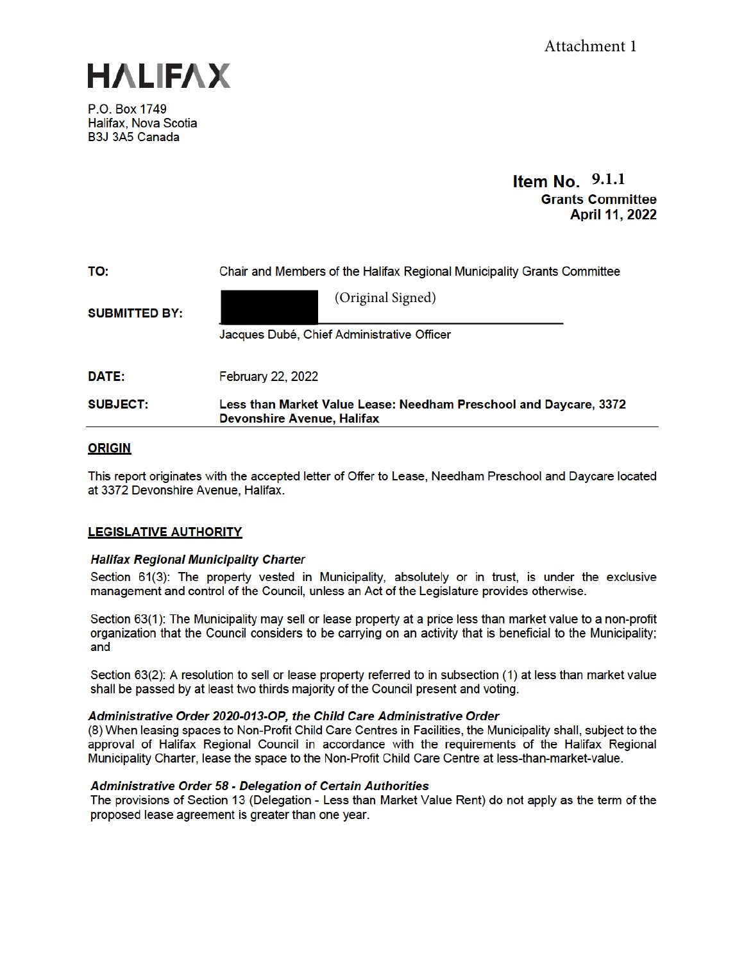

P.O. Box 1749 Halifax. Nova Scotia B3J 3A5 Canada

# Item No.  $9.1.1$ **Grants Committee** April 11, 2022

| TO:                  | Chair and Members of the Halifax Regional Municipality Grants Committee                                |  |  |
|----------------------|--------------------------------------------------------------------------------------------------------|--|--|
| <b>SUBMITTED BY:</b> | (Original Signed)                                                                                      |  |  |
|                      | Jacques Dubé, Chief Administrative Officer                                                             |  |  |
| DATE:                | <b>February 22, 2022</b>                                                                               |  |  |
| <b>SUBJECT:</b>      | Less than Market Value Lease: Needham Preschool and Daycare, 3372<br><b>Devonshire Avenue, Halifax</b> |  |  |

# **ORIGIN**

This report originates with the accepted letter of Offer to Lease, Needham Preschool and Daycare located at 3372 Devonshire Avenue, Halifax.

# **LEGISLATIVE AUTHORITY**

# **Halifax Regional Municipality Charter**

Section 61(3): The property vested in Municipality, absolutely or in trust, is under the exclusive management and control of the Council, unless an Act of the Legislature provides otherwise.

Section 63(1): The Municipality may sell or lease property at a price less than market value to a non-profit organization that the Council considers to be carrying on an activity that is beneficial to the Municipality; and

Section 63(2): A resolution to sell or lease property referred to in subsection (1) at less than market value shall be passed by at least two thirds majority of the Council present and voting.

### Administrative Order 2020-013-OP, the Child Care Administrative Order

(8) When leasing spaces to Non-Profit Child Care Centres in Facilities, the Municipality shall, subject to the approval of Halifax Regional Council in accordance with the requirements of the Halifax Regional Municipality Charter, lease the space to the Non-Profit Child Care Centre at less-than-market-value.

# **Administrative Order 58 - Delegation of Certain Authorities**

The provisions of Section 13 (Delegation - Less than Market Value Rent) do not apply as the term of the proposed lease agreement is greater than one year.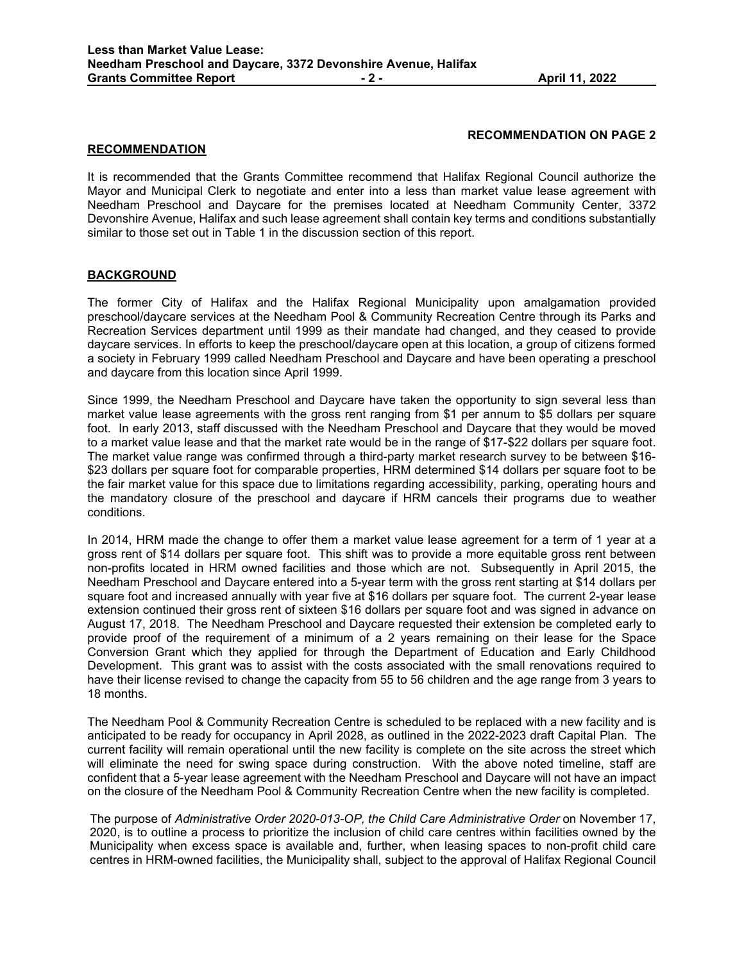## **RECOMMENDATION ON PAGE 2**

#### **RECOMMENDATION**

It is recommended that the Grants Committee recommend that Halifax Regional Council authorize the Mayor and Municipal Clerk to negotiate and enter into a less than market value lease agreement with Needham Preschool and Daycare for the premises located at Needham Community Center, 3372 Devonshire Avenue, Halifax and such lease agreement shall contain key terms and conditions substantially similar to those set out in Table 1 in the discussion section of this report.

## **BACKGROUND**

The former City of Halifax and the Halifax Regional Municipality upon amalgamation provided preschool/daycare services at the Needham Pool & Community Recreation Centre through its Parks and Recreation Services department until 1999 as their mandate had changed, and they ceased to provide daycare services. In efforts to keep the preschool/daycare open at this location, a group of citizens formed a society in February 1999 called Needham Preschool and Daycare and have been operating a preschool and daycare from this location since April 1999.

Since 1999, the Needham Preschool and Daycare have taken the opportunity to sign several less than market value lease agreements with the gross rent ranging from \$1 per annum to \$5 dollars per square foot. In early 2013, staff discussed with the Needham Preschool and Daycare that they would be moved to a market value lease and that the market rate would be in the range of \$17-\$22 dollars per square foot. The market value range was confirmed through a third-party market research survey to be between \$16- \$23 dollars per square foot for comparable properties, HRM determined \$14 dollars per square foot to be the fair market value for this space due to limitations regarding accessibility, parking, operating hours and the mandatory closure of the preschool and daycare if HRM cancels their programs due to weather conditions.

In 2014, HRM made the change to offer them a market value lease agreement for a term of 1 year at a gross rent of \$14 dollars per square foot. This shift was to provide a more equitable gross rent between non-profits located in HRM owned facilities and those which are not. Subsequently in April 2015, the Needham Preschool and Daycare entered into a 5-year term with the gross rent starting at \$14 dollars per square foot and increased annually with year five at \$16 dollars per square foot. The current 2-year lease extension continued their gross rent of sixteen \$16 dollars per square foot and was signed in advance on August 17, 2018. The Needham Preschool and Daycare requested their extension be completed early to provide proof of the requirement of a minimum of a 2 years remaining on their lease for the Space Conversion Grant which they applied for through the Department of Education and Early Childhood Development. This grant was to assist with the costs associated with the small renovations required to have their license revised to change the capacity from 55 to 56 children and the age range from 3 years to 18 months.

The Needham Pool & Community Recreation Centre is scheduled to be replaced with a new facility and is anticipated to be ready for occupancy in April 2028, as outlined in the 2022-2023 draft Capital Plan. The current facility will remain operational until the new facility is complete on the site across the street which will eliminate the need for swing space during construction. With the above noted timeline, staff are confident that a 5-year lease agreement with the Needham Preschool and Daycare will not have an impact on the closure of the Needham Pool & Community Recreation Centre when the new facility is completed.

The purpose of *Administrative Order 2020-013-OP, the Child Care Administrative Order* on November 17, 2020, is to outline a process to prioritize the inclusion of child care centres within facilities owned by the Municipality when excess space is available and, further, when leasing spaces to non-profit child care centres in HRM-owned facilities, the Municipality shall, subject to the approval of Halifax Regional Council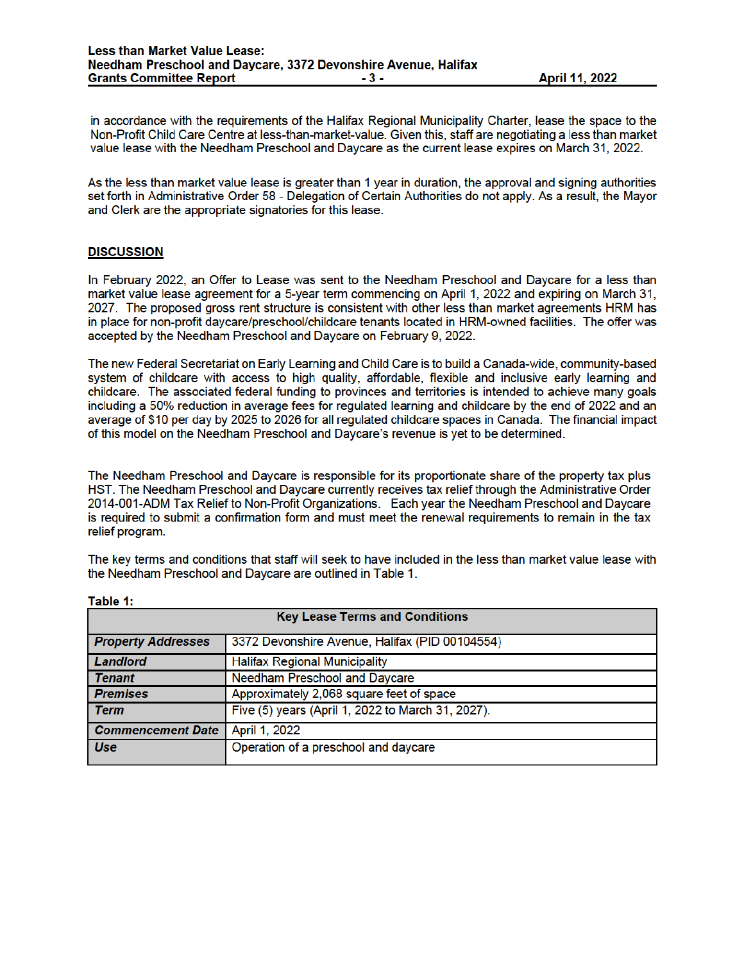in accordance with the requirements of the Halifax Regional Municipality Charter, lease the space to the Non-Profit Child Care Centre at less-than-market-value. Given this, staff are negotiating a less than market value lease with the Needham Preschool and Daycare as the current lease expires on March 31, 2022.

As the less than market value lease is greater than 1 year in duration, the approval and signing authorities set forth in Administrative Order 58 - Delegation of Certain Authorities do not apply. As a result, the Mayor and Clerk are the appropriate signatories for this lease.

### **DISCUSSION**

In February 2022, an Offer to Lease was sent to the Needham Preschool and Daycare for a less than market value lease agreement for a 5-year term commencing on April 1, 2022 and expiring on March 31, 2027. The proposed gross rent structure is consistent with other less than market agreements HRM has in place for non-profit daycare/preschool/childcare tenants located in HRM-owned facilities. The offer was accepted by the Needham Preschool and Daycare on February 9, 2022.

The new Federal Secretariat on Early Learning and Child Care is to build a Canada-wide, community-based system of childcare with access to high quality, affordable, flexible and inclusive early learning and childcare. The associated federal funding to provinces and territories is intended to achieve many goals including a 50% reduction in average fees for regulated learning and childcare by the end of 2022 and an average of \$10 per day by 2025 to 2026 for all regulated childcare spaces in Canada. The financial impact of this model on the Needham Preschool and Daycare's revenue is yet to be determined.

The Needham Preschool and Daycare is responsible for its proportionate share of the property tax plus HST. The Needham Preschool and Daycare currently receives tax relief through the Administrative Order 2014-001-ADM Tax Relief to Non-Profit Organizations. Each year the Needham Preschool and Daycare is required to submit a confirmation form and must meet the renewal requirements to remain in the tax relief program.

The key terms and conditions that staff will seek to have included in the less than market value lease with the Needham Preschool and Daycare are outlined in Table 1.

| $\cdots$<br><b>Key Lease Terms and Conditions</b> |                                                   |  |  |
|---------------------------------------------------|---------------------------------------------------|--|--|
| <b>Property Addresses</b>                         | 3372 Devonshire Avenue, Halifax (PID 00104554)    |  |  |
| Landlord                                          | <b>Halifax Regional Municipality</b>              |  |  |
| <b>Tenant</b>                                     | Needham Preschool and Daycare                     |  |  |
| <b>Premises</b>                                   | Approximately 2,068 square feet of space          |  |  |
| Term                                              | Five (5) years (April 1, 2022 to March 31, 2027). |  |  |
| <b>Commencement Date</b>                          | April 1, 2022                                     |  |  |
| <b>Use</b>                                        | Operation of a preschool and daycare              |  |  |

Table 1: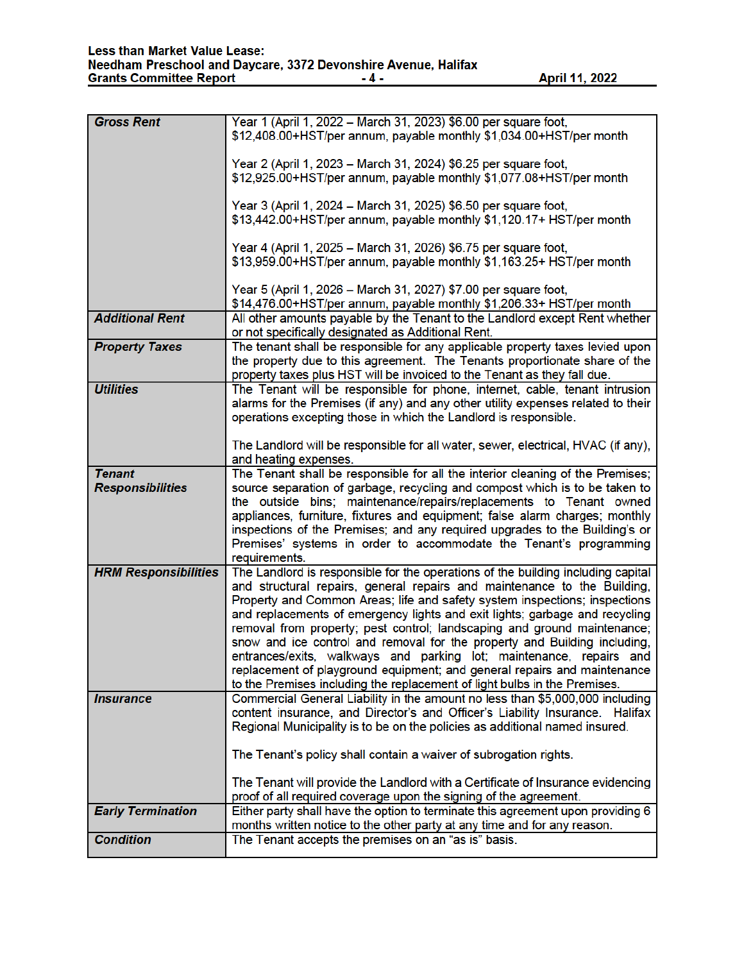| <b>Gross Rent</b>           | Year 1 (April 1, 2022 - March 31, 2023) \$6.00 per square foot,<br>\$12,408.00+HST/per annum, payable monthly \$1,034.00+HST/per month                     |  |  |  |
|-----------------------------|------------------------------------------------------------------------------------------------------------------------------------------------------------|--|--|--|
|                             |                                                                                                                                                            |  |  |  |
|                             | Year 2 (April 1, 2023 - March 31, 2024) \$6.25 per square foot,                                                                                            |  |  |  |
|                             | \$12,925.00+HST/per annum, payable monthly \$1,077.08+HST/per month                                                                                        |  |  |  |
|                             | Year 3 (April 1, 2024 - March 31, 2025) \$6.50 per square foot,                                                                                            |  |  |  |
|                             | \$13,442.00+HST/per annum, payable monthly \$1,120.17+ HST/per month                                                                                       |  |  |  |
|                             | Year 4 (April 1, 2025 - March 31, 2026) \$6.75 per square foot,                                                                                            |  |  |  |
|                             | \$13,959.00+HST/per annum, payable monthly \$1,163.25+ HST/per month                                                                                       |  |  |  |
|                             | Year 5 (April 1, 2026 – March 31, 2027) \$7.00 per square foot,                                                                                            |  |  |  |
|                             | \$14,476.00+HST/per annum, payable monthly \$1,206.33+ HST/per month                                                                                       |  |  |  |
| <b>Additional Rent</b>      | All other amounts payable by the Tenant to the Landlord except Rent whether<br>or not specifically designated as Additional Rent.                          |  |  |  |
| <b>Property Taxes</b>       | The tenant shall be responsible for any applicable property taxes levied upon                                                                              |  |  |  |
|                             | the property due to this agreement. The Tenants proportionate share of the<br>property taxes plus HST will be invoiced to the Tenant as they fall due.     |  |  |  |
| <b>Utilities</b>            | The Tenant will be responsible for phone, internet, cable, tenant intrusion                                                                                |  |  |  |
|                             | alarms for the Premises (if any) and any other utility expenses related to their                                                                           |  |  |  |
|                             | operations excepting those in which the Landlord is responsible.                                                                                           |  |  |  |
|                             | The Landlord will be responsible for all water, sewer, electrical, HVAC (if any),                                                                          |  |  |  |
|                             | and heating expenses.                                                                                                                                      |  |  |  |
| <b>Tenant</b>               | The Tenant shall be responsible for all the interior cleaning of the Premises;                                                                             |  |  |  |
| <b>Responsibilities</b>     | source separation of garbage, recycling and compost which is to be taken to                                                                                |  |  |  |
|                             | the outside bins; maintenance/repairs/replacements to Tenant owned<br>appliances, furniture, fixtures and equipment; false alarm charges; monthly          |  |  |  |
|                             | inspections of the Premises; and any required upgrades to the Building's or                                                                                |  |  |  |
|                             | Premises' systems in order to accommodate the Tenant's programming                                                                                         |  |  |  |
|                             | requirements.                                                                                                                                              |  |  |  |
| <b>HRM Responsibilities</b> | The Landlord is responsible for the operations of the building including capital                                                                           |  |  |  |
|                             | and structural repairs, general repairs and maintenance to the Building,<br>Property and Common Areas; life and safety system inspections; inspections     |  |  |  |
|                             | and replacements of emergency lights and exit lights; garbage and recycling                                                                                |  |  |  |
|                             | removal from property; pest control; landscaping and ground maintenance;                                                                                   |  |  |  |
|                             | snow and ice control and removal for the property and Building including,                                                                                  |  |  |  |
|                             | entrances/exits, walkways and parking lot; maintenance, repairs and                                                                                        |  |  |  |
|                             | replacement of playground equipment; and general repairs and maintenance                                                                                   |  |  |  |
| <b>Insurance</b>            | to the Premises including the replacement of light bulbs in the Premises.<br>Commercial General Liability in the amount no less than \$5,000,000 including |  |  |  |
|                             | content insurance, and Director's and Officer's Liability Insurance. Halifax                                                                               |  |  |  |
|                             | Regional Municipality is to be on the policies as additional named insured.                                                                                |  |  |  |
|                             | The Tenant's policy shall contain a waiver of subrogation rights.                                                                                          |  |  |  |
|                             |                                                                                                                                                            |  |  |  |
|                             | The Tenant will provide the Landlord with a Certificate of Insurance evidencing                                                                            |  |  |  |
|                             | proof of all required coverage upon the signing of the agreement.                                                                                          |  |  |  |
| <b>Early Termination</b>    | Either party shall have the option to terminate this agreement upon providing 6                                                                            |  |  |  |
| <b>Condition</b>            | months written notice to the other party at any time and for any reason.<br>The Tenant accepts the premises on an "as is" basis.                           |  |  |  |
|                             |                                                                                                                                                            |  |  |  |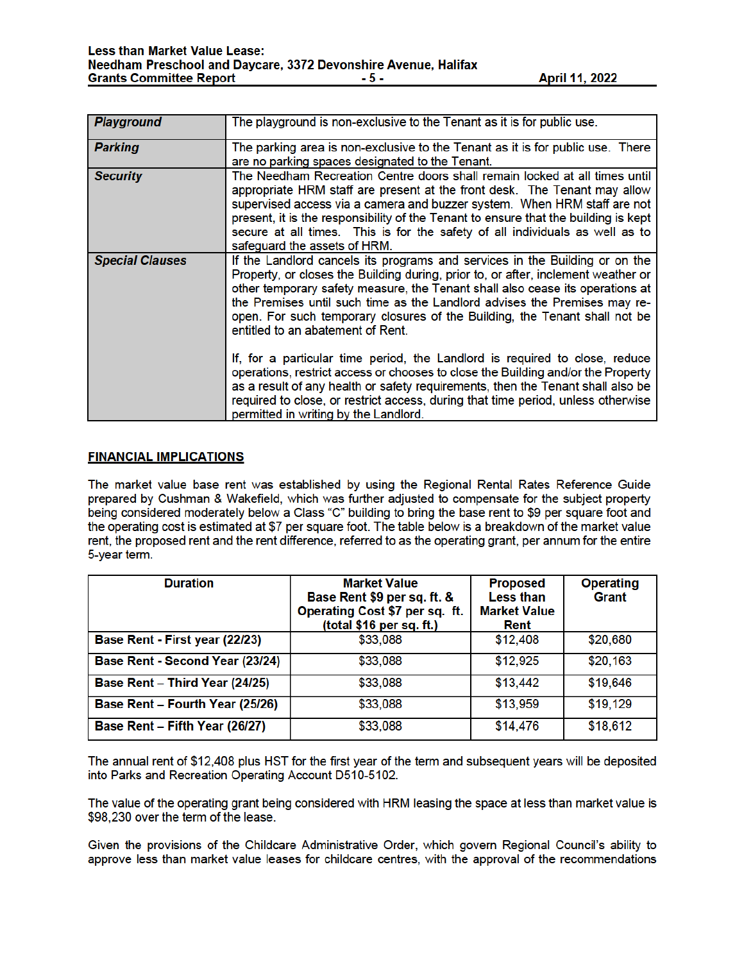| <b>Playground</b>      | The playground is non-exclusive to the Tenant as it is for public use.                                                                                                                                                                                                                                                                                                                                                                            |  |  |  |
|------------------------|---------------------------------------------------------------------------------------------------------------------------------------------------------------------------------------------------------------------------------------------------------------------------------------------------------------------------------------------------------------------------------------------------------------------------------------------------|--|--|--|
| <b>Parking</b>         | The parking area is non-exclusive to the Tenant as it is for public use. There<br>are no parking spaces designated to the Tenant.                                                                                                                                                                                                                                                                                                                 |  |  |  |
| <b>Security</b>        | The Needham Recreation Centre doors shall remain locked at all times until<br>appropriate HRM staff are present at the front desk. The Tenant may allow<br>supervised access via a camera and buzzer system. When HRM staff are not<br>present, it is the responsibility of the Tenant to ensure that the building is kept<br>secure at all times. This is for the safety of all individuals as well as to<br>safeguard the assets of HRM.        |  |  |  |
| <b>Special Clauses</b> | If the Landlord cancels its programs and services in the Building or on the<br>Property, or closes the Building during, prior to, or after, inclement weather or<br>other temporary safety measure, the Tenant shall also cease its operations at<br>the Premises until such time as the Landlord advises the Premises may re-<br>open. For such temporary closures of the Building, the Tenant shall not be<br>entitled to an abatement of Rent. |  |  |  |
|                        | If, for a particular time period, the Landlord is required to close, reduce<br>operations, restrict access or chooses to close the Building and/or the Property<br>as a result of any health or safety requirements, then the Tenant shall also be<br>required to close, or restrict access, during that time period, unless otherwise<br>permitted in writing by the Landlord.                                                                   |  |  |  |

### **FINANCIAL IMPLICATIONS**

The market value base rent was established by using the Regional Rental Rates Reference Guide prepared by Cushman & Wakefield, which was further adjusted to compensate for the subject property being considered moderately below a Class "C" building to bring the base rent to \$9 per square foot and the operating cost is estimated at \$7 per square foot. The table below is a breakdown of the market value rent, the proposed rent and the rent difference, referred to as the operating grant, per annum for the entire 5-year term.

| <b>Duration</b>                 | <b>Market Value</b><br>Base Rent \$9 per sq. ft. &<br>Operating Cost \$7 per sq. ft.<br>(total \$16 per sq. ft.) | <b>Proposed</b><br>Less than<br><b>Market Value</b><br>Rent | <b>Operating</b><br>Grant |
|---------------------------------|------------------------------------------------------------------------------------------------------------------|-------------------------------------------------------------|---------------------------|
| Base Rent - First year (22/23)  | \$33,088                                                                                                         | \$12,408                                                    | \$20,680                  |
| Base Rent - Second Year (23/24) | \$33,088                                                                                                         | \$12,925                                                    | \$20,163                  |
| Base Rent - Third Year (24/25)  | \$33,088                                                                                                         | \$13,442                                                    | \$19,646                  |
| Base Rent - Fourth Year (25/26) | \$33,088                                                                                                         | \$13,959                                                    | \$19,129                  |
| Base Rent - Fifth Year (26/27)  | \$33,088                                                                                                         | \$14,476                                                    | \$18,612                  |

The annual rent of \$12,408 plus HST for the first year of the term and subsequent years will be deposited into Parks and Recreation Operating Account D510-5102.

The value of the operating grant being considered with HRM leasing the space at less than market value is \$98,230 over the term of the lease.

Given the provisions of the Childcare Administrative Order, which govern Regional Council's ability to approve less than market value leases for childcare centres, with the approval of the recommendations